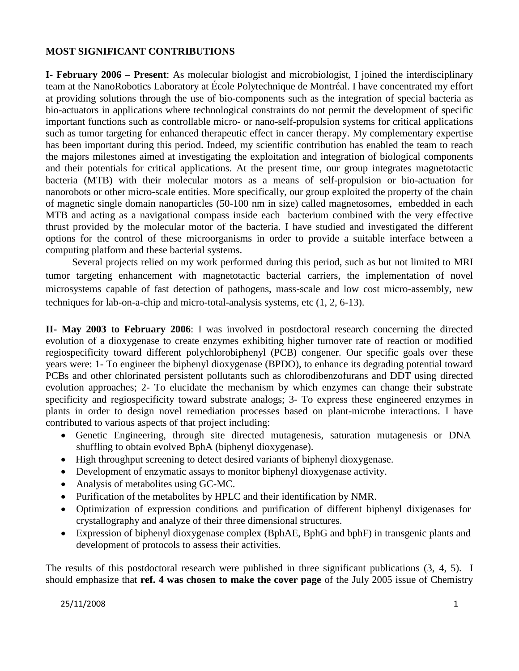## **MOST SIGNIFICANT CONTRIBUTIONS**

**I- February 2006 – Present**: As molecular biologist and microbiologist, I joined the interdisciplinary team at the NanoRobotics Laboratory at École Polytechnique de Montréal. I have concentrated my effort at providing solutions through the use of bio-components such as the integration of special bacteria as bio-actuators in applications where technological constraints do not permit the development of specific important functions such as controllable micro- or nano-self-propulsion systems for critical applications such as tumor targeting for enhanced therapeutic effect in cancer therapy. My complementary expertise has been important during this period. Indeed, my scientific contribution has enabled the team to reach the majors milestones aimed at investigating the exploitation and integration of biological components and their potentials for critical applications. At the present time, our group integrates magnetotactic bacteria (MTB) with their molecular motors as a means of self-propulsion or bio-actuation for nanorobots or other micro-scale entities. More specifically, our group exploited the property of the chain of magnetic single domain nanoparticles (50-100 nm in size) called magnetosomes, embedded in each MTB and acting as a navigational compass inside each bacterium combined with the very effective thrust provided by the molecular motor of the bacteria. I have studied and investigated the different options for the control of these microorganisms in order to provide a suitable interface between a computing platform and these bacterial systems.

Several projects relied on my work performed during this period, such as but not limited to MRI tumor targeting enhancement with magnetotactic bacterial carriers, the implementation of novel microsystems capable of fast detection of pathogens, mass-scale and low cost micro-assembly, new techniques for lab-on-a-chip and micro-total-analysis systems, etc (1, 2, 6-13).

**II- May 2003 to February 2006**: I was involved in postdoctoral research concerning the directed evolution of a dioxygenase to create enzymes exhibiting higher turnover rate of reaction or modified regiospecificity toward different polychlorobiphenyl (PCB) congener. Our specific goals over these years were: 1- To engineer the biphenyl dioxygenase (BPDO), to enhance its degrading potential toward PCBs and other chlorinated persistent pollutants such as chlorodibenzofurans and DDT using directed evolution approaches; 2- To elucidate the mechanism by which enzymes can change their substrate specificity and regiospecificity toward substrate analogs; 3- To express these engineered enzymes in plants in order to design novel remediation processes based on plant-microbe interactions. I have contributed to various aspects of that project including:

- Genetic Engineering, through site directed mutagenesis, saturation mutagenesis or DNA shuffling to obtain evolved BphA (biphenyl dioxygenase).
- High throughput screening to detect desired variants of biphenyl dioxygenese.
- Development of enzymatic assays to monitor biphenyl dioxygenase activity.
- Analysis of metabolites using GC-MC.
- Purification of the metabolites by HPLC and their identification by NMR.
- Optimization of expression conditions and purification of different biphenyl dixigenases for crystallography and analyze of their three dimensional structures.
- Expression of biphenyl dioxygenase complex (BphAE, BphG and bphF) in transgenic plants and development of protocols to assess their activities.

The results of this postdoctoral research were published in three significant publications (3, 4, 5). I should emphasize that **ref. 4 was chosen to make the cover page** of the July 2005 issue of Chemistry

## 25/11/2008 1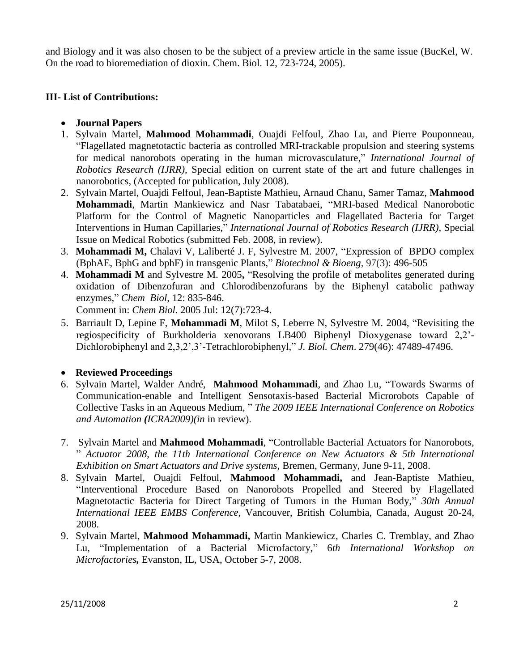and Biology and it was also chosen to be the subject of a preview article in the same issue (BucKel, W. On the road to bioremediation of dioxin. Chem. Biol. 12, 723-724, 2005).

## **III- List of [Contributions:](javascript:submit_form())**

- **Journal Papers**
- 1. Sylvain Martel, **Mahmood Mohammadi**, Ouajdi Felfoul, Zhao Lu, and Pierre Pouponneau, "Flagellated magnetotactic bacteria as controlled MRI-trackable propulsion and steering systems for medical nanorobots operating in the human microvasculature," *International Journal of Robotics Research (IJRR)*, Special edition on current state of the art and future challenges in nanorobotics, (Accepted for publication, July 2008).
- 2. Sylvain Martel, Ouajdi Felfoul, Jean-Baptiste Mathieu, Arnaud Chanu, Samer Tamaz, **Mahmood Mohammadi**, Martin Mankiewicz and Nasr Tabatabaei, "MRI-based Medical Nanorobotic Platform for the Control of Magnetic Nanoparticles and Flagellated Bacteria for Target Interventions in Human Capillaries," *International Journal of Robotics Research (IJRR)*, Special Issue on Medical Robotics (submitted Feb. 2008, in review).
- 3. **Mohammadi M,** Chalavi V, Laliberté J. F, Sylvestre M. 2007, "Expression of BPDO complex (BphAE, BphG and bphF) in transgenic Plants," *Biotechnol & Bioeng,* 97(3): 496-505
- 4. **Mohammadi M** [and Sylvestre M.](http://www.ncbi.nlm.nih.gov/entrez/query.fcgi?cmd=Retrieve&db=pubmed&dopt=Abstract&list_uids=16039530&query_hl=2) 2005**,** "Resolving the profile of metabolites generated during oxidation of Dibenzofuran and Chlorodibenzofurans by the Biphenyl catabolic pathway enzymes*,*" *Chem Biol,* 12: 835-846.

Comment in: *Chem Biol.* [2005 Jul: 12\(7\):723-4.](http://www.ncbi.nlm.nih.gov/entrez/query.fcgi?cmd=Retrieve&db=pubmed&dopt=Abstract&list_uids=16039520)

5. Barriault D, Lepine F, **Mohammadi M**[, Milot S, Leberre N, Sylvestre M.](http://www.ncbi.nlm.nih.gov/entrez/query.fcgi?cmd=Retrieve&db=pubmed&dopt=Abstract&list_uids=15342625&query_hl=2) 2004, "Revisiting the regiospecificity of Burkholderia xenovorans LB400 Biphenyl Dioxygenase toward 2,2'- Dichlorobiphenyl and 2,3,2',3'-Tetrachlorobiphenyl," *J. Biol. Chem*. 279(46): 47489-47496.

## **Reviewed Proceedings**

- 6. Sylvain Martel, Walder André, **Mahmood Mohammadi**, and Zhao Lu, "Towards Swarms of Communication-enable and Intelligent Sensotaxis-based Bacterial Microrobots Capable of Collective Tasks in an Aqueous Medium, " *The 2009 IEEE International Conference on Robotics and Automation (ICRA2009)(in* in review).
- 7. Sylvain Martel and **Mahmood Mohammadi**, "Controllable Bacterial Actuators for Nanorobots, " *Actuator 2008, the 11th International Conference on New Actuators & 5th International Exhibition on Smart Actuators and Drive systems,* Bremen, Germany, June 9-11, 2008.
- 8. Sylvain Martel, Ouajdi Felfoul, **Mahmood Mohammadi,** and Jean-Baptiste Mathieu, "Interventional Procedure Based on Nanorobots Propelled and Steered by Flagellated Magnetotactic Bacteria for Direct Targeting of Tumors in the Human Body," *[30th Annual](http://www.embc2008.com/)  [International IEEE EMBS Conference,](http://www.embc2008.com/)* Vancouver, British Columbia, Canada, August 20-24, 2008.
- 9. Sylvain Martel, **Mahmood Mohammadi,** Martin Mankiewicz, Charles C. Tremblay, and Zhao Lu, "Implementation of a Bacterial Microfactory," 6*th International Workshop on Microfactories,* Evanston, IL, USA, October 5-7, 2008.